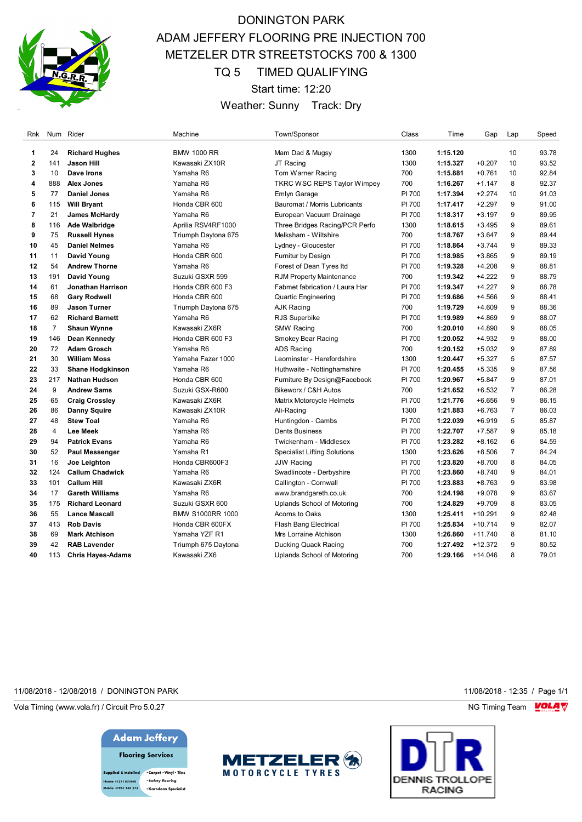

# DONINGTON PARK ADAM JEFFERY FLOORING PRE INJECTION 700 METZELER DTR STREETSTOCKS 700 & 1300 TQ 5 TIMED QUALIFYING Start time: 12:20 Weather: Sunny Track: Dry

| Rnk            |                | Num Rider                | Machine                 | Town/Sponsor                        | Class  | Time     | Gap       | Lap            | Speed |
|----------------|----------------|--------------------------|-------------------------|-------------------------------------|--------|----------|-----------|----------------|-------|
| $\mathbf{1}$   | 24             | <b>Richard Hughes</b>    | <b>BMW 1000 RR</b>      | Mam Dad & Mugsy                     | 1300   | 1:15.120 |           | 10             | 93.78 |
| $\overline{2}$ | 141            | Jason Hill               | Kawasaki ZX10R          | JT Racing                           | 1300   | 1:15.327 | $+0.207$  | 10             | 93.52 |
| 3              | 10             | Dave Irons               | Yamaha R6               | Tom Warner Racing                   | 700    | 1:15.881 | $+0.761$  | 10             | 92.84 |
| 4              | 888            | <b>Alex Jones</b>        | Yamaha R6               | <b>TKRC WSC REPS Taylor Wimpey</b>  | 700    | 1:16.267 | $+1.147$  | 8              | 92.37 |
| 5              | 77             | <b>Daniel Jones</b>      | Yamaha R6               | Emlyn Garage                        | PI 700 | 1:17.394 | $+2.274$  | 10             | 91.03 |
| 6              | 115            | <b>Will Bryant</b>       | Honda CBR 600           | Bauromat / Morris Lubricants        | PI 700 | 1:17.417 | $+2.297$  | 9              | 91.00 |
| $\overline{7}$ | 21             | <b>James McHardy</b>     | Yamaha R6               | European Vacuum Drainage            | PI 700 | 1:18.317 | $+3.197$  | 9              | 89.95 |
| 8              | 116            | <b>Ade Walbridge</b>     | Aprilia RSV4RF1000      | Three Bridges Racing/PCR Perfo      | 1300   | 1:18.615 | $+3.495$  | 9              | 89.61 |
| 9              | 75             | <b>Russell Hynes</b>     | Triumph Daytona 675     | Melksham - Wiltshire                | 700    | 1:18.767 | $+3.647$  | 9              | 89.44 |
| 10             | 45             | <b>Daniel Nelmes</b>     | Yamaha R6               | Lydney - Gloucester                 | PI 700 | 1:18.864 | $+3.744$  | 9              | 89.33 |
| 11             | 11             | David Young              | Honda CBR 600           | <b>Furnitur by Design</b>           | PI 700 | 1:18.985 | $+3.865$  | 9              | 89.19 |
| 12             | 54             | <b>Andrew Thorne</b>     | Yamaha R6               | Forest of Dean Tyres Itd            | PI 700 | 1:19.328 | $+4.208$  | 9              | 88.81 |
| 13             | 191            | David Young              | Suzuki GSXR 599         | <b>RJM Property Maintenance</b>     | 700    | 1:19.342 | $+4.222$  | 9              | 88.79 |
| 14             | 61             | Jonathan Harrison        | Honda CBR 600 F3        | Fabmet fabrication / Laura Har      | PI 700 | 1:19.347 | $+4.227$  | 9              | 88.78 |
| 15             | 68             | <b>Gary Rodwell</b>      | Honda CBR 600           | Quartic Engineering                 | PI 700 | 1:19.686 | $+4.566$  | 9              | 88.41 |
| 16             | 89             | <b>Jason Turner</b>      | Triumph Daytona 675     | <b>AJK Racing</b>                   | 700    | 1:19.729 | $+4.609$  | 9              | 88.36 |
| 17             | 62             | <b>Richard Barnett</b>   | Yamaha R6               | RJS Superbike                       | PI 700 | 1:19.989 | $+4.869$  | 9              | 88.07 |
| 18             | $\overline{7}$ | <b>Shaun Wynne</b>       | Kawasaki ZX6R           | <b>SMW Racing</b>                   | 700    | 1:20.010 | $+4.890$  | 9              | 88.05 |
| 19             | 146            | Dean Kennedy             | Honda CBR 600 F3        | Smokey Bear Racing                  | PI 700 | 1:20.052 | $+4.932$  | 9              | 88.00 |
| 20             | 72             | <b>Adam Grosch</b>       | Yamaha R6               | <b>ADS Racing</b>                   | 700    | 1:20.152 | $+5.032$  | 9              | 87.89 |
| 21             | 30             | <b>William Moss</b>      | Yamaha Fazer 1000       | Leominster - Herefordshire          | 1300   | 1:20.447 | $+5.327$  | 5              | 87.57 |
| 22             | 33             | <b>Shane Hodgkinson</b>  | Yamaha R6               | Huthwaite - Nottinghamshire         | PI 700 | 1:20.455 | $+5.335$  | 9              | 87.56 |
| 23             | 217            | <b>Nathan Hudson</b>     | Honda CBR 600           | Furniture By Design@Facebook        | PI 700 | 1:20.967 | $+5.847$  | 9              | 87.01 |
| 24             | 9              | <b>Andrew Sams</b>       | Suzuki GSX-R600         | Bikeworx / C&H Autos                | 700    | 1:21.652 | $+6.532$  | $\overline{7}$ | 86.28 |
| 25             | 65             | <b>Craig Crossley</b>    | Kawasaki ZX6R           | <b>Matrix Motorcycle Helmets</b>    | PI 700 | 1:21.776 | $+6.656$  | 9              | 86.15 |
| 26             | 86             | <b>Danny Squire</b>      | Kawasaki ZX10R          | Ali-Racing                          | 1300   | 1:21.883 | $+6.763$  | $\overline{7}$ | 86.03 |
| 27             | 48             | <b>Stew Toal</b>         | Yamaha R6               | Huntingdon - Cambs                  | PI 700 | 1:22.039 | $+6.919$  | 5              | 85.87 |
| 28             | $\overline{4}$ | <b>Lee Meek</b>          | Yamaha R6               | <b>Dents Business</b>               | PI 700 | 1:22.707 | $+7.587$  | 9              | 85.18 |
| 29             | 94             | <b>Patrick Evans</b>     | Yamaha R6               | Twickenham - Middlesex              | PI 700 | 1:23.282 | $+8.162$  | 6              | 84.59 |
| 30             | 52             | Paul Messenger           | Yamaha R1               | <b>Specialist Lifting Solutions</b> | 1300   | 1:23.626 | $+8.506$  | $\overline{7}$ | 84.24 |
| 31             | 16             | Joe Leighton             | Honda CBR600F3          | <b>JJW Racing</b>                   | PI 700 | 1:23.820 | $+8.700$  | 8              | 84.05 |
| 32             | 124            | <b>Callum Chadwick</b>   | Yamaha R6               | Swadlincote - Derbyshire            | PI 700 | 1:23.860 | $+8.740$  | 9              | 84.01 |
| 33             | 101            | <b>Callum Hill</b>       | Kawasaki ZX6R           | Callington - Cornwall               | PI 700 | 1:23.883 | $+8.763$  | 9              | 83.98 |
| 34             | 17             | <b>Gareth Williams</b>   | Yamaha R6               | www.brandgareth.co.uk               | 700    | 1:24.198 | $+9.078$  | 9              | 83.67 |
| 35             | 175            | <b>Richard Leonard</b>   | Suzuki GSXR 600         | Uplands School of Motoring          | 700    | 1:24.829 | $+9.709$  | 8              | 83.05 |
| 36             | 55             | <b>Lance Mascall</b>     | <b>BMW S1000RR 1000</b> | Acorns to Oaks                      | 1300   | 1:25.411 | $+10.291$ | 9              | 82.48 |
| 37             | 413            | <b>Rob Davis</b>         | Honda CBR 600FX         | <b>Flash Bang Electrical</b>        | PI 700 | 1:25.834 | $+10.714$ | 9              | 82.07 |
| 38             | 69             | <b>Mark Atchison</b>     | Yamaha YZF R1           | Mrs Lorraine Atchison               | 1300   | 1:26.860 | $+11.740$ | 8              | 81.10 |
| 39             | 42             | <b>RAB Lavender</b>      | Triumph 675 Daytona     | Ducking Quack Racing                | 700    | 1:27.492 | $+12.372$ | 9              | 80.52 |
| 40             | 113            | <b>Chris Hayes-Adams</b> | Kawasaki ZX6            | Uplands School of Motoring          | 700    | 1:29.166 | $+14.046$ | 8              | 79.01 |

### 11/08/2018 - 12/08/2018 / DONINGTON PARK 11/08/2018 - 12:35 / Page 1/1

Vola Timing (www.vola.fr) / Circuit Pro 5.0.27 **NG Timing Team MOLA View Area** NG Timing Team MOLA View Area NG Timing Team MOLA View Area NG Timing Team MOLA View Area NG Timing Team MOLA View Area NG Timing Team MOLA Vie





· Safety flooring 01271 855860 .<br>Ie: 07967 560 272 -<br>Karadean Specialis



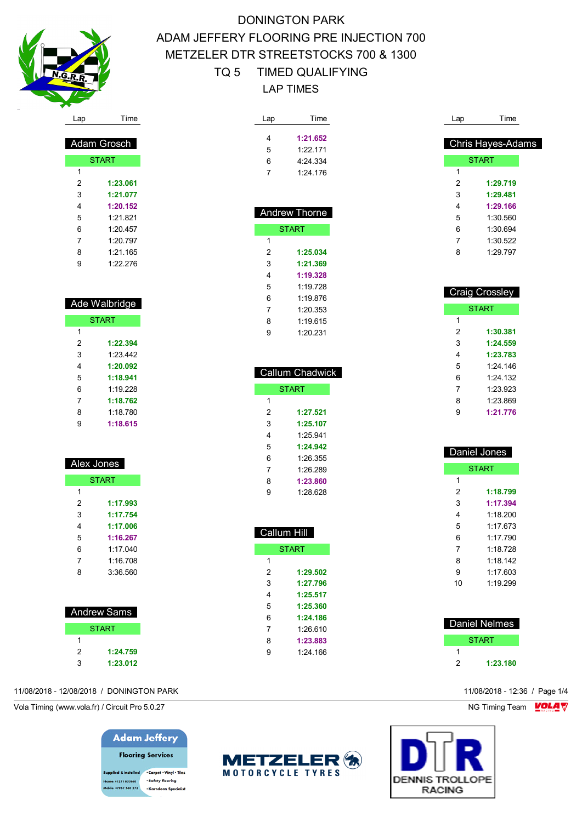

 Adam Grosch START

> **1:23.061 1:21.077 1:20.152** 1:21.821 1:20.457 1:20.797 1:21.165 1:22.276

 Ade Walbridge START

> **1:22.394** 1:23.442 **1:20.092 1:18.941** 1:19.228

# DONINGTON PARK ADAM JEFFERY FLOORING PRE INJECTION 700 METZELER DTR STREETSTOCKS 700 & 1300 TQ 5 TIMED QUALIFYING LAP TIMES

| Lap            | Time                   |  |
|----------------|------------------------|--|
|                |                        |  |
| 4              | 1:21.652<br>1:22.171   |  |
| 5<br>6         | 4:24.334               |  |
| 7              |                        |  |
|                | 1:24.176               |  |
|                |                        |  |
|                |                        |  |
|                | <b>Andrew Thorne</b>   |  |
|                | <b>START</b>           |  |
| 1              |                        |  |
| 2              | 1:25.034               |  |
| 3              | 1:21.369               |  |
| 4              | 1:19.328               |  |
| 5              | 1:19.728               |  |
| 6              | 1:19.876               |  |
| 7              | 1:20.353               |  |
| 8              | 1:19.615               |  |
| 9              | 1:20.231               |  |
|                |                        |  |
|                |                        |  |
|                |                        |  |
|                | <b>Callum Chadwick</b> |  |
|                |                        |  |
|                | <b>START</b>           |  |
| 1              |                        |  |
| 2              | 1:27.521               |  |
| 3              | 1:25.107               |  |
| 4              | 1:25.941               |  |
| 5              | 1:24.942               |  |
| 6              | 1:26.355               |  |
| 7              | 1:26.289               |  |
| 8              | 1:23.860               |  |
| 9              | 1:28.628               |  |
|                |                        |  |
|                |                        |  |
|                |                        |  |
| Callum Hil     |                        |  |
|                | <b>START</b>           |  |
| 1              |                        |  |
| 2              | 1:29.502               |  |
| 3              | 1:27.796               |  |
| 4              | 1:25.517               |  |
| 5              | 1:25.360               |  |
| 6              | 1:24.186               |  |
| $\overline{7}$ | 1:26.610               |  |
| 8<br>9         | 1:23.883<br>1:24.166   |  |

| Lap            | Time                     |
|----------------|--------------------------|
|                |                          |
|                | <b>Chris Hayes-Adams</b> |
|                | <b>START</b>             |
| 1              |                          |
| $\overline{c}$ | 1:29.719                 |
| 3<br>4         | 1:29.481<br>1:29.166     |
| 5              | 1:30.560                 |
| 6              | 1:30.694                 |
| 7              | 1:30.522                 |
| 8              | 1:29.797                 |
|                |                          |
|                |                          |
|                | <b>Craig Crossley</b>    |
|                |                          |
|                | <b>START</b>             |
| 1<br>2         | 1:30.381                 |
| 3              | 1:24.559                 |
| 4              | 1:23.783                 |
| 5              | 1:24.146                 |
| 6              | 1:24.132                 |
| 7              | 1:23.923                 |
| 8              | 1:23.869                 |
| 9              | 1:21.776                 |
|                |                          |
|                |                          |
|                | Daniel Jones             |
|                | <b>START</b>             |
| 1              |                          |
| $\overline{c}$ | 1:18.799                 |
| 3              | 1:17.394                 |
| 4              | 1:18.200                 |
| 5              | 1:17.673                 |
| 6              | 1:17.790                 |
| 7              | 1:18.728                 |
| 8              | 1:18.142                 |
| 9              | 1:17.603                 |
| 10             | 1:19.299                 |

|   | Daniel Nelmes |
|---|---------------|
|   | <b>START</b>  |
|   |               |
| 2 | 1:23.180      |

|     | Callum         |
|-----|----------------|
| ST/ |                |
|     | 1              |
|     | $\overline{2}$ |
|     | 3              |
|     | $\overline{4}$ |
|     | 5              |
|     | 6              |
|     | $\overline{7}$ |
|     | 8              |
|     | 9              |
|     |                |

### 11/08/2018 - 12/08/2018 / DONINGTON PARK 11/08/2018 - 12:36 / Page 1/4

Vola Timing (www.vola.fr) / Circuit Pro 5.0.27 NG Timing Team NG Timing Team NG Timing Team NG Timing Team NG

# **Adam Jeffery Flooring Services**

upplied & installed . Carpet . Vinyl . Tiles · Safety flooring 01271 855860 **bile: 07967 560 272** · Karndean Specialist



**DENNIS TROLLOPE RACING** 

| Alex Jones   |          |  |  |
|--------------|----------|--|--|
| <b>START</b> |          |  |  |
| 1            |          |  |  |
| 2            | 1:17.993 |  |  |
| 3            | 1:17.754 |  |  |

| 4 | 1:17.006 |
|---|----------|
| 5 | 1:16.267 |
| 6 | 1.17 040 |
| 7 | 1:16.708 |

| Andrew Sams  |
|--------------|
| <b>START</b> |
|              |
| 1:24.759     |

**1:23.012**

| -7 | 1:18.762 |  |
|----|----------|--|
| -8 | 1.18780  |  |
| 9  | 1:18.615 |  |

| x Jones      |  |
|--------------|--|
| <b>START</b> |  |

|   | lex Jones    |  |
|---|--------------|--|
|   | <b>START</b> |  |
| 1 |              |  |
| 2 | 1:17.993     |  |
|   |              |  |

| 1:17.993 |  |
|----------|--|
| 1:17.754 |  |
| 1:17.006 |  |
| .        |  |

| 5 | 1:16.267 |
|---|----------|
| 6 | 1:17.040 |
| 7 | 1:16.708 |
| 8 | 3:36.560 |

| Jones |  |  |
|-------|--|--|
| :TART |  |  |

|   | Callum Ch    |
|---|--------------|
|   | <b>START</b> |
| 1 |              |
| 2 | 1:2          |
| 3 | 1:2          |
| 4 | 1:2          |
| 5 | 1:2          |
| 6 | 1:2          |

| 6 | 1:26.355 |  |
|---|----------|--|
| 7 | 1:26.289 |  |
| 8 | 1:23.860 |  |
| 9 | 1:28.628 |  |
|   |          |  |
|   |          |  |
|   |          |  |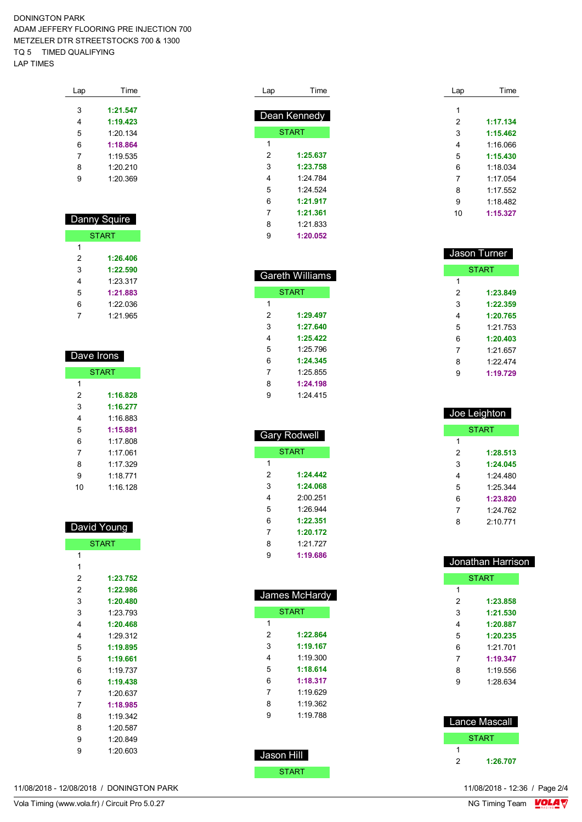### DONINGTON PARK ADAM JEFFERY FLOORING PRE INJECTION 700 METZELER DTR STREETSTOCKS 700 & 1300 TQ 5 TIMED QUALIFYING LAP TIMES

| Lap | Time     |
|-----|----------|
|     |          |
| 3   | 1:21.547 |
| 4   | 1:19.423 |
| 5   | 1.20134  |
| 6   | 1:18.864 |
| 7   | 1.19535  |
| 8   | 1:20.210 |
| q   | 1.20.369 |
|     |          |

| Danny Squire |              |  |
|--------------|--------------|--|
|              | <b>START</b> |  |
| 1            |              |  |
| 2            | 1:26.406     |  |
| 3            | 1:22.590     |  |
| 4            | 1:23.317     |  |
| 5            | 1:21.883     |  |
| 6            | 1:22.036     |  |
|              | 1.21.965     |  |

| Dave Irons |              |
|------------|--------------|
|            | <b>START</b> |
| 1          |              |
| 2          | 1:16.828     |
| 3          | 1:16.277     |
| 4          | 1:16 883     |
| 5          | 1:15.881     |
| 6          | 1.17 808     |
| 7          | 1.17061      |
| 8          | 1.17 329     |
| 9          | 1.18771      |
| 10         | 1.16 128     |

| David Young |              |
|-------------|--------------|
|             | <b>START</b> |
| 1           |              |
| 1           |              |
| 2           | 1:23.752     |
| 2           | 1:22.986     |
| 3           | 1:20.480     |
| 3           | 1.23793      |
| 4           | 1:20.468     |
| 4           | 1.29 312     |
| 5           | 1:19.895     |
| 5           | 1:19.661     |
| 6           | 1.19737      |
| 6           | 1:19.438     |
| 7           | 1.20637      |
| 7           | 1:18.985     |
| 8           | 1.19.342     |
| 8           | 1:20.587     |
| 9           | 1:20.849     |
| 9           | 1:20.603     |
|             |              |

| Lap | Time         |
|-----|--------------|
|     |              |
|     | Dean Kennedy |
|     | <b>START</b> |
| 1   |              |
| 2   | 1:25.637     |
| 3   | 1:23.758     |
| 4   | 1.24 784     |
| 5   | 1:24.524     |
| 6   | 1:21.917     |
| 7   | 1:21.361     |
| 8   | 1:21.833     |
| g   | 1:20.052     |

|   | Gareth Williams |
|---|-----------------|
|   | <b>START</b>    |
| 1 |                 |
| 2 | 1:29.497        |
| 3 | 1:27.640        |
| 4 | 1:25.422        |
| 5 | 1:25.796        |
| 6 | 1:24.345        |
| 7 | 1.25855         |
| 8 | 1:24.198        |
| 9 | 1 24 415        |

| <b>Gary Rodwell</b> |              |  |
|---------------------|--------------|--|
|                     | <b>START</b> |  |
| 1                   |              |  |
| 2                   | 1-24 442     |  |
| 3                   | 1:24.068     |  |
| 4                   | 2:00.251     |  |
| 5                   | 1.26.944     |  |
| 6                   | 1:22.351     |  |
| 7                   | 1:20.172     |  |
| 8                   | 1:21.727     |  |
| 9                   | 1:19.686     |  |

| James McHardy |              |
|---------------|--------------|
|               | <b>START</b> |
| 1             |              |
| 2             | 1:22.864     |
| 3             | 1:19.167     |
| 4             | 1:19.300     |
| 5             | 1:18.614     |
| 6             | 1:18.317     |
| 7             | 1:19.629     |
| 8             | 1:19.362     |
| 9             | 1:19.788     |
|               |              |
|               |              |
| Jason Hill    |              |

START

| Lap | Time     |
|-----|----------|
| 1   |          |
| 2   | 1:17.134 |
| 3   | 1:15.462 |
| 4   | 1:16.066 |
| 5   | 1:15.430 |
| 6   | 1.18034  |
| 7   | 1.17054  |
| 8   | 1.17552  |
| 9   | 1:18.482 |
| 10  | 1:15.327 |
|     |          |

| Joe Leighton |              |
|--------------|--------------|
|              | <b>START</b> |
| 1            |              |
| 2            | 1:28.513     |
| 3            | 1:24.045     |
| 4            | 1:24 480     |
| 5            | 1.25.344     |
| 6            | 1:23.820     |
| 7            | 1.24 762     |
| ጸ            | 2.10771      |
|              |              |

| Jonathan Harrison |               |
|-------------------|---------------|
|                   | <b>START</b>  |
| 1                 |               |
| 2                 | 1:23.858      |
| 3                 | 1:21.530      |
| 4                 | 1:20.887      |
| 5                 | 1:20.235      |
| 6                 | 1:21.701      |
| 7                 | 1:19.347      |
| 8                 | 1:19.556      |
| 9                 | 1:28.634      |
|                   |               |
|                   |               |
|                   | Lance Mascall |
|                   |               |
|                   | <b>START</b>  |
| 1                 |               |
| 2                 | 1:26.707      |

11/08/2018 - 12/08/2018 / DONINGTON PARK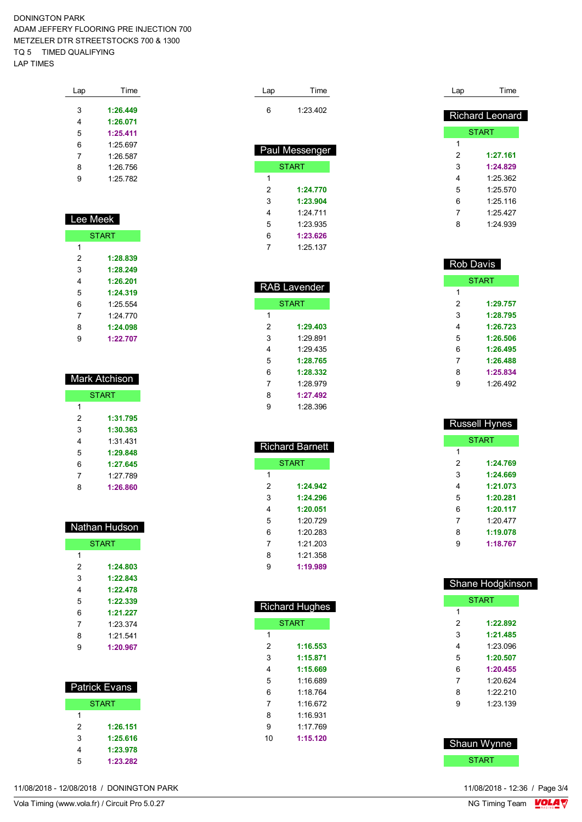### DONINGTON PARK ADAM JEFFERY FLOORING PRE INJECTION 700 METZELER DTR STREETSTOCKS 700 & 1300 TQ 5 TIMED QUALIFYING LAP TIMES

| Lap | Time     |
|-----|----------|
|     |          |
| 3   | 1:26.449 |
| 4   | 1:26.071 |
| 5   | 1:25.411 |
| 6   | 1:25.697 |
| 7   | 1:26.587 |
| 8   | 1.26 756 |
| g   | 1.25782  |
|     |          |

| Lee Me <u>ek</u> |              |  |
|------------------|--------------|--|
|                  |              |  |
|                  | <b>START</b> |  |
| 1                |              |  |
| 2                | 1:28.839     |  |
| 3                | 1:28.249     |  |
| 4                | 1:26.201     |  |
| 5                | 1:24.319     |  |
| 6                | 1.25 554     |  |
| 7                | 1.24 770     |  |
| 8                | 1:24.098     |  |
| 9                | 1:22.707     |  |

| Mark Atchison. |              |
|----------------|--------------|
|                | <b>START</b> |
| 1              |              |
| 2              | 1:31.795     |
| 3              | 1:30.363     |
| 4              | 1:31.431     |
| 5              | 1:29.848     |
| 6              | 1:27.645     |
| 7              | 1:27.789     |
| 8              | 1:26.860     |

| Nathan Hudson |          |
|---------------|----------|
|               | START    |
| 1             |          |
| 2             | 1:24.803 |
| 3             | 1:22.843 |
| 4             | 1:22.478 |
| 5             | 1:22.339 |
| 6             | 1:21.227 |
| 7             | 1.23.374 |
| 8             | 1:21.541 |
| g             | 1:20.967 |

|   | <b>Patrick Evans</b> |
|---|----------------------|
|   | <b>START</b>         |
| 1 |                      |
| 2 | 1:26.151             |
| 3 | 1:25.616             |
| 4 | 1:23.978             |
| 5 | 1:23.282             |

| 11/08/2018 - 12/08/2018 /<br>DONINGTON PARK | 11/08/2018 - 12:36 / Page 3/4 |
|---------------------------------------------|-------------------------------|
|---------------------------------------------|-------------------------------|

| Lap | Time           |
|-----|----------------|
| 6   | 1:23.402       |
|     | Paul Messenger |
|     | <b>START</b>   |
| 1   |                |
| 2   | 1:24.770       |
| 3   | 1:23.904       |
| 4   | 1.24 711       |
| 5   | 1:23.935       |
| 6   | 1:23.626       |
| 7   | 1:25.137       |

| <b>RAB Lavender</b> |          |  |  |  |
|---------------------|----------|--|--|--|
| <b>START</b>        |          |  |  |  |
| 1                   |          |  |  |  |
| 2                   | 1:29.403 |  |  |  |
| 3                   | 1:29.891 |  |  |  |
| 4                   | 1:29.435 |  |  |  |
| 5                   | 1:28.765 |  |  |  |
| 6                   | 1:28.332 |  |  |  |
| 7                   | 1.28.979 |  |  |  |
| 8                   | 1:27.492 |  |  |  |
| 9                   | 1.28.396 |  |  |  |

| <b>Richard Barnett</b> |          |  |  |  |
|------------------------|----------|--|--|--|
| <b>START</b>           |          |  |  |  |
| 1                      |          |  |  |  |
| 2                      | 1:24.942 |  |  |  |
| 3                      | 1:24.296 |  |  |  |
| 4                      | 1:20.051 |  |  |  |
| 5                      | 1.20 729 |  |  |  |
| 6                      | 1.20.283 |  |  |  |
| 7                      | 1:21.203 |  |  |  |
| 8                      | 1:21.358 |  |  |  |
| 9                      | 1:19.989 |  |  |  |

| <b>Richard Hughes</b> |              |  |  |  |  |
|-----------------------|--------------|--|--|--|--|
|                       | <b>START</b> |  |  |  |  |
| 1                     |              |  |  |  |  |
| 2                     | 1:16.553     |  |  |  |  |
| 3                     | 1:15.871     |  |  |  |  |
| 4                     | 1:15.669     |  |  |  |  |
| 5                     | 1:16 689     |  |  |  |  |
| 6                     | 1 18 764     |  |  |  |  |
| 7                     | 1.16672      |  |  |  |  |
| 8                     | 1 16 931     |  |  |  |  |
| 9                     | 1.17 769     |  |  |  |  |
| 10                    | 1:15.120     |  |  |  |  |
|                       |              |  |  |  |  |

| Lap | Time                   |
|-----|------------------------|
|     | <b>Richard Leonard</b> |
|     | <b>START</b>           |
| 1   |                        |
| 2   | 1:27.161               |
| 3   | 1:24.829               |
| 4   | 1.25.362               |
| 5   | 1:25.570               |
| 6   | 1:25.116               |
| 7   | 1.25427                |
| 8   | 1.24 939               |

| <b>Rob Davis</b> |              |  |  |  |  |  |
|------------------|--------------|--|--|--|--|--|
|                  | <b>START</b> |  |  |  |  |  |
| 1                |              |  |  |  |  |  |
| 2                | 1:29.757     |  |  |  |  |  |
| 3                | 1:28.795     |  |  |  |  |  |
| 4                | 1:26.723     |  |  |  |  |  |
| 5                | 1:26.506     |  |  |  |  |  |
| 6                | 1:26.495     |  |  |  |  |  |
| 7                | 1:26.488     |  |  |  |  |  |
| 8                | 1:25.834     |  |  |  |  |  |
| 9                | 1.26 492     |  |  |  |  |  |

| <b>Russell Hynes</b> |              |  |  |  |  |  |
|----------------------|--------------|--|--|--|--|--|
|                      | <b>START</b> |  |  |  |  |  |
| 1                    |              |  |  |  |  |  |
| 2                    | 1:24.769     |  |  |  |  |  |
| 3                    | 1:24.669     |  |  |  |  |  |
| 4                    | 1:21.073     |  |  |  |  |  |
| 5                    | 1:20.281     |  |  |  |  |  |
| 6<br>1:20.117        |              |  |  |  |  |  |
| 7                    | 1.20 477     |  |  |  |  |  |
| 8<br>1:19.078        |              |  |  |  |  |  |
| 9                    | 1:18.767     |  |  |  |  |  |
|                      |              |  |  |  |  |  |

|   | Shane Hodgkinson |
|---|------------------|
|   | <b>START</b>     |
| 1 |                  |
| 2 | 1:22.892         |
| 3 | 1:21.485         |
| 4 | 1.23 096         |
| 5 | 1:20.507         |
| 6 | 1:20.455         |
| 7 | 1.20.624         |
| 8 | 1.22.210         |
| 9 | 1.23 139         |
|   |                  |
|   |                  |

 Shaun Wynne **START**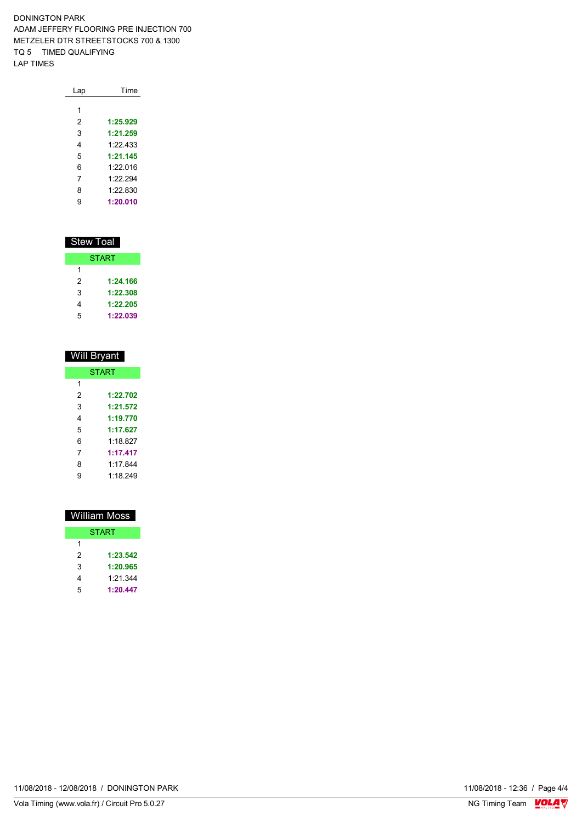DONINGTON PARK ADAM JEFFERY FLOORING PRE INJECTION 700 METZELER DTR STREETSTOCKS 700 & 1300 TQ 5 TIMED QUALIFYING LAP TIMES

| Lap | Time     |
|-----|----------|
|     |          |
| 1   |          |
| 2   | 1:25.929 |
| 3   | 1:21.259 |
| 4   | 1.22 433 |
| 5   | 1:21.145 |
| 6   | 1.22016  |
| 7   | 1.22294  |
| 8   | 1:22.830 |
| 9   | 1:20.010 |

# Stew Toal

|   | <b>START</b> |
|---|--------------|
| 1 |              |
| 2 | 1:24.166     |
| 3 | 1:22.308     |
| 4 | 1:22.205     |
| 5 | 1:22.039     |

| Will Bryant  |          |  |  |  |  |
|--------------|----------|--|--|--|--|
| <b>START</b> |          |  |  |  |  |
| 1            |          |  |  |  |  |
| 2            | 1:22.702 |  |  |  |  |
| 3            | 1:21.572 |  |  |  |  |
| 4            | 1:19.770 |  |  |  |  |
| 5            | 1:17.627 |  |  |  |  |
| 6            | 1:18.827 |  |  |  |  |
| 7            | 1:17.417 |  |  |  |  |
| 8            | 1.17844  |  |  |  |  |
| 9            | 1.18 249 |  |  |  |  |
|              |          |  |  |  |  |

|   | William Moss |
|---|--------------|
|   | <b>START</b> |
| 1 |              |
| 2 | 1:23.542     |
| 3 | 1:20.965     |
| 4 | 1:21.344     |
| 5 | 1:20.447     |

11/08/2018 - 12/08/2018 / DONINGTON PARK

Vola Timing (www.vola.fr) / Circuit Pro 5.0.27

11/08/2018 - 12:36 / Page 4/4<br>NG Timing Team  $\frac{\text{VOLA}}{\text{V}}$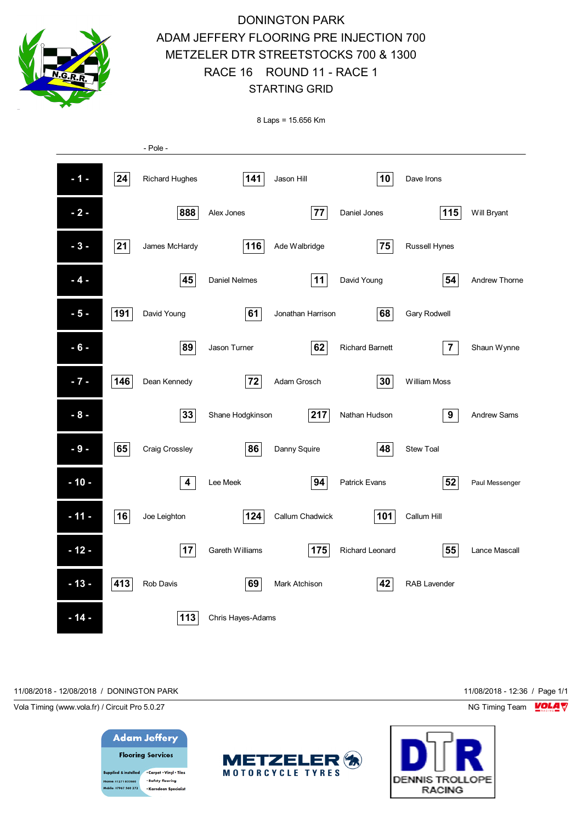

8 Laps = 15.656 Km

|        |     | - Pole -                |                      |                   |                        |                     |                    |
|--------|-----|-------------------------|----------------------|-------------------|------------------------|---------------------|--------------------|
| $-1-$  | 24  | <b>Richard Hughes</b>   | 141                  | Jason Hill        | 10                     | Dave Irons          |                    |
| $-2-$  |     | 888                     | Alex Jones           | ${\bf 77}$        | Daniel Jones           | 115                 | Will Bryant        |
| $-3-$  | 21  | James McHardy           | 116                  | Ade Walbridge     | 75                     | Russell Hynes       |                    |
| $-4-$  |     | 45                      | <b>Daniel Nelmes</b> | 11                | David Young            | 54                  | Andrew Thorne      |
| $-5-$  | 191 | David Young             | 61                   | Jonathan Harrison | 68                     | <b>Gary Rodwell</b> |                    |
| $-6-$  |     | 89                      | Jason Turner         | 62                | <b>Richard Barnett</b> | $\overline{7}$      | Shaun Wynne        |
| $-7 -$ | 146 | Dean Kennedy            | 72                   | Adam Grosch       | 30                     | William Moss        |                    |
| $-8-$  |     | 33                      | Shane Hodgkinson     | 217               | Nathan Hudson          | 9                   | <b>Andrew Sams</b> |
| $-9-$  | 65  | Craig Crossley          | 86                   | Danny Squire      | 48                     | <b>Stew Toal</b>    |                    |
| $-10-$ |     | $\overline{\mathbf{4}}$ | Lee Meek             | 94                | <b>Patrick Evans</b>   | 52                  | Paul Messenger     |
| $-11-$ | 16  | Joe Leighton            | 124                  | Callum Chadwick   | 101                    | Callum Hill         |                    |
| $-12-$ |     | 17                      | Gareth Williams      | 175               | Richard Leonard        | 55                  | Lance Mascall      |
| $-13-$ | 413 | Rob Davis               | 69                   | Mark Atchison     | 42                     | <b>RAB Lavender</b> |                    |
| $-14-$ |     | 113                     | Chris Hayes-Adams    |                   |                        |                     |                    |

11/08/2018 - 12/08/2018 / DONINGTON PARK 11/08/2018 - 12:36 / Page 1/1

Vola Timing (www.vola.fr) / Circuit Pro 5.0.27 NG Timing Team NG Timing Team NG Timing Team NG Timing Team NG





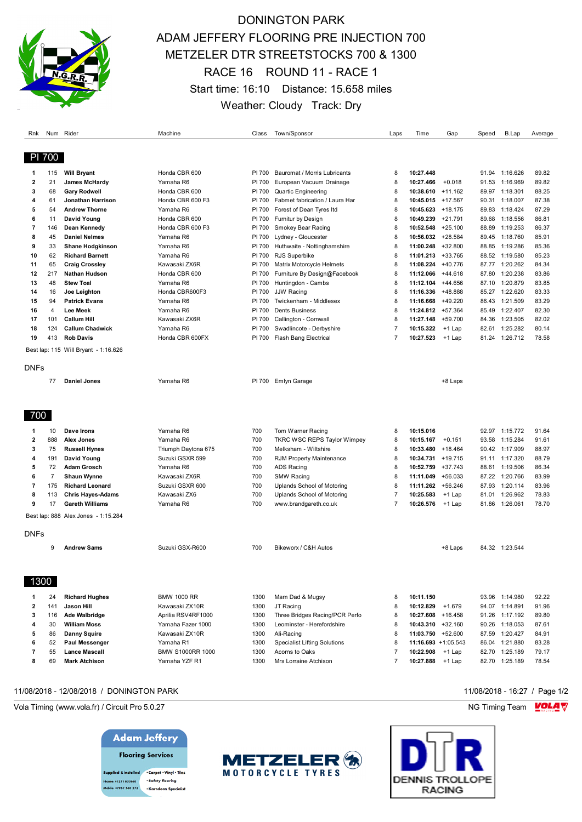

# DONINGTON PARK ADAM JEFFERY FLOORING PRE INJECTION 700 METZELER DTR STREETSTOCKS 700 & 1300 RACE 16 ROUND 11 - RACE 1 Start time: 16:10 Distance: 15.658 miles Weather: Cloudy Track: Dry

| Rnk            |                | Num Rider                                         | Machine                | Class            | Town/Sponsor                                        | Laps           | Time                           | Gap       | Speed          | B.Lap                | Average        |
|----------------|----------------|---------------------------------------------------|------------------------|------------------|-----------------------------------------------------|----------------|--------------------------------|-----------|----------------|----------------------|----------------|
| PI 700         |                |                                                   |                        |                  |                                                     |                |                                |           |                |                      |                |
|                |                |                                                   |                        |                  |                                                     |                |                                |           |                |                      |                |
| 1              | 115            | <b>Will Bryant</b>                                | Honda CBR 600          | PI 700           | Bauromat / Morris Lubricants                        | 8              | 10:27.448                      |           |                | 91.94 1:16.626       | 89.82          |
| 2              | 21             | <b>James McHardy</b>                              | Yamaha R6              | PI 700           | European Vacuum Drainage                            | 8              | 10:27.466                      | $+0.018$  | 91.53          | 1:16.969             | 89.82          |
| 3              | 68             | <b>Gary Rodwell</b>                               | Honda CBR 600          | PI 700           | <b>Quartic Engineering</b>                          | 8              | 10:38.610                      | $+11.162$ |                | 89.97 1:18.301       | 88.25          |
| 4              | 61             | Jonathan Harrison                                 | Honda CBR 600 F3       | PI 700           | Fabmet fabrication / Laura Har                      | 8              | $10:45.015$ +17.567            |           |                | 90.31 1:18.007       | 87.38          |
| 5              | 54             | <b>Andrew Thorne</b>                              | Yamaha R6              | PI 700           | Forest of Dean Tyres Itd                            | 8              | $10:45.623 + 18.175$           |           | 89.83          | 1:18.424             | 87.29          |
| 6              | 11             | David Young                                       | Honda CBR 600          | PI 700           | Furnitur by Design                                  | 8              | $10:49.239 + 21.791$           |           |                | 89.68 1:18.556       | 86.81          |
| $\overline{7}$ | 146            | Dean Kennedy                                      | Honda CBR 600 F3       | PI 700           | Smokey Bear Racing                                  | 8              | 10:52.548                      | $+25.100$ | 88.89          | 1:19.253             | 86.37          |
| 8              | 45             | <b>Daniel Nelmes</b>                              | Yamaha R6              | PI 700           | Lydney - Gloucester                                 | 8              | 10:56.032 +28.584              |           |                | 89.45 1:18.760       | 85.91          |
| 9              | 33<br>62       | <b>Shane Hodgkinson</b><br><b>Richard Barnett</b> | Yamaha R6<br>Yamaha R6 | PI 700<br>PI 700 | Huthwaite - Nottinghamshire<br><b>RJS Superbike</b> | 8<br>8         | 11:00.248<br>11:01.213 +33.765 | $+32.800$ | 88.85<br>88.52 | 1:19.286<br>1:19.580 | 85.36<br>85.23 |
| 10<br>11       | 65             | <b>Craig Crossley</b>                             | Kawasaki ZX6R          | PI 700           | Matrix Motorcycle Helmets                           | 8              | 11:08.224                      | $+40.776$ |                | 87.77 1:20.262       | 84.34          |
| 12             | 217            | <b>Nathan Hudson</b>                              | Honda CBR 600          | PI 700           | Furniture By Design@Facebook                        | 8              | 11:12.066                      | $+44.618$ | 87.80          | 1:20.238             | 83.86          |
| 13             | 48             | <b>Stew Toal</b>                                  | Yamaha R6              | PI 700           | Huntingdon - Cambs                                  | 8              | 11:12.104 +44.656              |           | 87.10          | 1:20.879             | 83.85          |
| 14             | 16             | Joe Leighton                                      | Honda CBR600F3         | PI 700           | <b>JJW Racing</b>                                   | 8              | 11:16.336                      | +48.888   | 85.27          | 1:22.620             | 83.33          |
| 15             | 94             | <b>Patrick Evans</b>                              | Yamaha R6              | PI 700           | Twickenham - Middlesex                              | 8              | 11:16.668 +49.220              |           | 86.43          | 1:21.509             | 83.29          |
| 16             | 4              | <b>Lee Meek</b>                                   | Yamaha R6              | PI 700           | <b>Dents Business</b>                               | 8              | 11:24.812 +57.364              |           | 85.49          | 1:22.407             | 82.30          |
| 17             | 101            | <b>Callum Hill</b>                                | Kawasaki ZX6R          | PI 700           | Callington - Cornwall                               | 8              | 11:27.148 +59.700              |           | 84.36          | 1:23.505             | 82.02          |
| 18             | 124            | <b>Callum Chadwick</b>                            | Yamaha R6              | PI 700           | Swadlincote - Derbyshire                            | $\overline{7}$ | 10:15.322                      | $+1$ Lap  | 82.61          | 1:25.282             | 80.14          |
| 19             | 413            | <b>Rob Davis</b>                                  | Honda CBR 600FX        | PI 700           | Flash Bang Electrical                               | $\overline{7}$ | 10:27.523                      | +1 Lap    | 81.24          | 1:26.712             | 78.58          |
|                |                | Best lap: 115 Will Bryant - 1:16.626              |                        |                  |                                                     |                |                                |           |                |                      |                |
|                |                |                                                   |                        |                  |                                                     |                |                                |           |                |                      |                |
| DNFs           |                |                                                   |                        |                  |                                                     |                |                                |           |                |                      |                |
|                | 77             | <b>Daniel Jones</b>                               | Yamaha R6              | PI 700           | Emlyn Garage                                        |                |                                | +8 Laps   |                |                      |                |
|                |                |                                                   |                        |                  |                                                     |                |                                |           |                |                      |                |
|                |                |                                                   |                        |                  |                                                     |                |                                |           |                |                      |                |
|                |                |                                                   |                        |                  |                                                     |                |                                |           |                |                      |                |
| 700            |                |                                                   |                        |                  |                                                     |                |                                |           |                |                      |                |
| 1              | 10             | Dave Irons                                        | Yamaha R6              | 700              | Tom Warner Racing                                   | 8              | 10:15.016                      |           |                | 92.97 1:15.772       | 91.64          |
| 2              | 888            | Alex Jones                                        | Yamaha R6              | 700              | <b>TKRC WSC REPS Taylor Wimpey</b>                  | 8              | 10:15.167                      | $+0.151$  | 93.58          | 1:15.284             | 91.61          |
| 3              | 75             | <b>Russell Hynes</b>                              | Triumph Daytona 675    | 700              | Melksham - Wiltshire                                | 8              | 10:33.480                      | $+18.464$ |                | 90.42 1:17.909       | 88.97          |
| 4              | 191            | David Young                                       | Suzuki GSXR 599        | 700              | RJM Property Maintenance                            | 8              | 10:34.731 +19.715              |           |                | 91.11 1:17.320       | 88.79          |
| 5              | 72             | Adam Grosch                                       | Yamaha R6              | 700              | <b>ADS Racing</b>                                   | 8              | 10:52.759                      | $+37.743$ | 88.61          | 1:19.506             | 86.34          |
| 6              | $\overline{7}$ | <b>Shaun Wynne</b>                                | Kawasaki ZX6R          | 700              | <b>SMW Racing</b>                                   | 8              | 11:11.049                      | $+56.033$ | 87.22          | 1:20.766             | 83.99          |
| $\overline{7}$ | 175            | <b>Richard Leonard</b>                            | Suzuki GSXR 600        | 700              | Uplands School of Motoring                          | 8              | 11:11.262 +56.246              |           | 87.93          | 1:20.114             | 83.96          |
| 8              | 113            | <b>Chris Hayes-Adams</b>                          | Kawasaki ZX6           | 700              | Uplands School of Motoring                          | $\overline{7}$ | 10:25.583                      | $+1$ Lap  | 81.01          | 1:26.962             | 78.83          |
| 9              | 17             | <b>Gareth Williams</b>                            | Yamaha R6              | 700              | www.brandgareth.co.uk                               | $\overline{7}$ | 10:26.576                      | +1 Lap    | 81.86          | 1:26.061             | 78.70          |
|                |                | Best lap: 888 Alex Jones - 1:15.284               |                        |                  |                                                     |                |                                |           |                |                      |                |
|                |                |                                                   |                        |                  |                                                     |                |                                |           |                |                      |                |
| DNFs           |                |                                                   |                        |                  |                                                     |                |                                |           |                |                      |                |
|                | 9              | <b>Andrew Sams</b>                                | Suzuki GSX-R600        | 700              | Bikeworx / C&H Autos                                |                |                                | +8 Laps   |                | 84.32 1:23.544       |                |
|                |                |                                                   |                        |                  |                                                     |                |                                |           |                |                      |                |
|                |                |                                                   |                        |                  |                                                     |                |                                |           |                |                      |                |
| 1300           |                |                                                   |                        |                  |                                                     |                |                                |           |                |                      |                |
|                |                |                                                   |                        |                  |                                                     |                |                                |           |                |                      |                |
| 1              | 24             | <b>Richard Hughes</b>                             | <b>BMW 1000 RR</b>     | 1300             | Mam Dad & Mugsy                                     | 8              | 10:11.150                      |           |                | 93.96 1:14.980       | 92.22          |
| 2              | 141            | Jason Hill                                        | Kawasaki ZX10R         | 1300             | JT Racing                                           | 8              | 10:12.829                      | $+1.679$  |                | 94.07 1:14.891       | 91.96          |
| 3              | 116            | <b>Ade Walbridge</b>                              | Aprilia RSV4RF1000     | 1300             | Three Bridges Racing/PCR Perfo                      | 8              | 10:27.608 +16.458              |           |                | 91.26 1:17.192       | 89.80          |
| 4              | 30             | <b>William Moss</b>                               | Yamaha Fazer 1000      | 1300             | Leominster - Herefordshire                          | 8              | 10:43.310 +32.160              |           |                | 90.26 1:18.053       | 87.61          |
| 5              | 86             | Danny Squire                                      | Kawasaki ZX10R         | 1300             | Ali-Racing                                          | 8              | 11:03.750 +52.600              |           |                | 87.59 1:20.427       | 84.91          |
| 6              | 52             | Paul Messenger                                    | Yamaha R1              | 1300             | <b>Specialist Lifting Solutions</b>                 | 8              | 11:16.693 +1:05.543            |           | 86.04          | 1:21.880             | 83.28          |
| 7              | 55             | <b>Lance Mascall</b>                              | BMW S1000RR 1000       | 1300             | Acorns to Oaks                                      | $\overline{7}$ | 10:22.908                      | $+1$ Lap  | 82.70          | 1:25.189             | 79.17          |
| 8              | 69             | <b>Mark Atchison</b>                              | Yamaha YZF R1          | 1300             | Mrs Lorraine Atchison                               | $\overline{7}$ | 10:27.888                      | +1 Lap    |                | 82.70 1:25.189       | 78.54          |

### 11/08/2018 - 12/08/2018 / DONINGTON PARK 11/08/2018 - 16:27 / Page 1/2

Vola Timing (www.vola.fr) / Circuit Pro 5.0.27 **NG Timing Team Monet Account Contract On Account Profession** NG Timing Team Monet Account Profession NG Timing Team Monet Account Profession NG Timing Team Monet Account Prof

### **Adam Jeffery**



pplied & installed . Carpet . Vinyl . Tiles · Safety flooring 01271 855860 · Karndean Specialis le: 07967 560 272



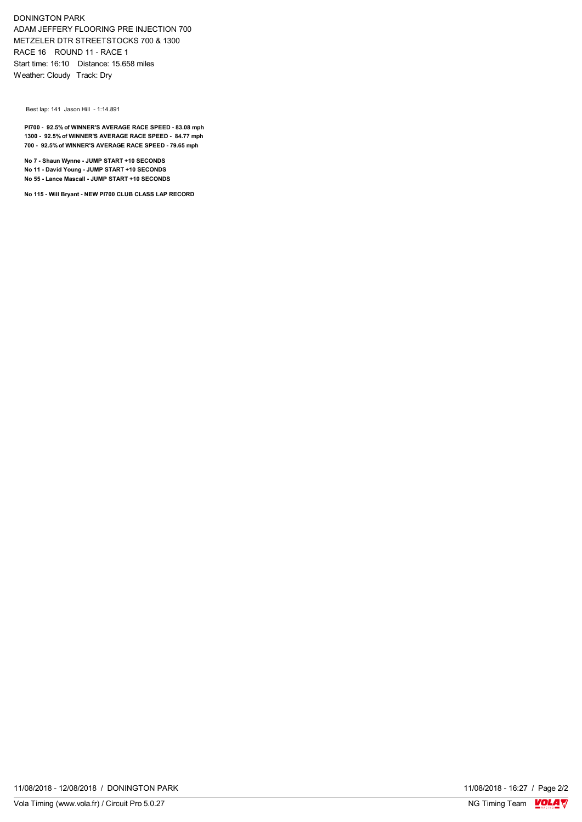DONINGTON PARK ADAM JEFFERY FLOORING PRE INJECTION 700 METZELER DTR STREETSTOCKS 700 & 1300 RACE 16 ROUND 11 - RACE 1 Start time: 16:10 Distance: 15.658 miles Weather: Cloudy Track: Dry

Best lap: 141 Jason Hill - 1:14.891

**PI700 - 92.5% of WINNER'S AVERAGE RACE SPEED - 83.08 mph 1300 - 92.5% of WINNER'S AVERAGE RACE SPEED - 84.77 mph 700 - 92.5% of WINNER'S AVERAGE RACE SPEED - 79.65 mph**

**No 7 - Shaun Wynne - JUMP START +10 SECONDS No 11 - David Young - JUMP START +10 SECONDS No 55 - Lance Mascall - JUMP START +10 SECONDS**

**No 115 - Will Bryant - NEW PI700 CLUB CLASS LAP RECORD**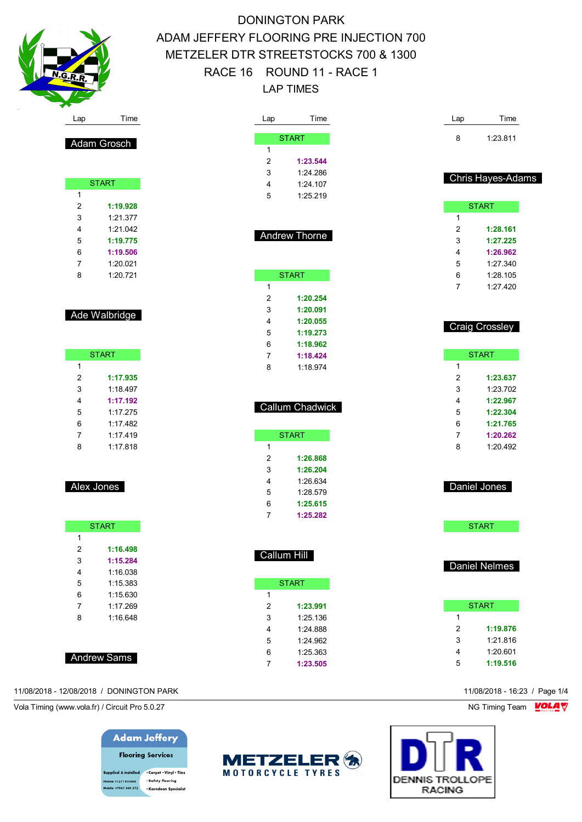

| Lap                 | Time                 | Lap                 | Time                  |
|---------------------|----------------------|---------------------|-----------------------|
|                     |                      |                     |                       |
|                     | <b>START</b>         | 8                   | 1:23.811              |
| 1<br>$\overline{2}$ | 1:23.544             |                     |                       |
| 3                   | 1:24.286             |                     |                       |
| 4                   | 1:24.107             |                     | Chris Hayes-Adams     |
| 5                   | 1:25.219             |                     |                       |
|                     |                      |                     | <b>START</b>          |
|                     |                      | 1                   |                       |
|                     |                      | 2                   | 1:28.161              |
|                     | Andrew Thorne        | 3                   | 1:27.225              |
|                     |                      | 4                   | 1:26.962              |
|                     |                      | 5                   | 1:27.340              |
|                     | <b>START</b>         | 6                   | 1:28.105              |
| 1                   |                      | 7                   | 1:27.420              |
| 2                   | 1:20.254             |                     |                       |
| 3                   | 1:20.091             |                     |                       |
| 4                   | 1:20.055             |                     | <b>Craig Crossley</b> |
| 5                   | 1:19.273             |                     |                       |
| 6                   | 1:18.962             |                     |                       |
| 7                   | 1:18.424             |                     | <b>START</b>          |
| 8                   | 1:18.974             | 1                   |                       |
|                     |                      | $\overline{2}$      | 1:23.637              |
|                     |                      | 3                   | 1:23.702              |
|                     | Callum Chadwick      | 4                   | 1:22.967              |
|                     |                      | 5                   | 1:22.304              |
|                     |                      | 6                   | 1:21.765              |
| 1                   | <b>START</b>         | 7<br>8              | 1:20.262<br>1:20.492  |
| 2                   | 1:26.868             |                     |                       |
| 3                   | 1:26.204             |                     |                       |
| 4                   | 1:26.634             |                     |                       |
| 5                   | 1:28.579             |                     | Daniel Jones          |
| 6                   | 1:25.615             |                     |                       |
| 7                   | 1:25.282             |                     |                       |
|                     |                      |                     | <b>START</b>          |
|                     |                      |                     |                       |
|                     | Callum Hill          |                     |                       |
|                     |                      |                     | <b>Daniel Nelmes</b>  |
|                     |                      |                     |                       |
|                     | <b>START</b>         |                     |                       |
| 1                   |                      |                     |                       |
| 2                   | 1:23.991             |                     | <b>START</b>          |
| 3                   | 1:25.136             | 1<br>$\overline{2}$ | 1:19.876              |
| 4                   | 1:24.888             | 3                   | 1:21.816              |
| 5<br>6              | 1:24.962<br>1:25.363 | 4                   | 1:20.601              |
| $\overline{7}$      | 1:23.505             | 5                   | 1:19.516              |

|   | START    |
|---|----------|
| 1 |          |
| 2 | 1:19.876 |
| 3 | 1:21.816 |
| 4 | 1:20.601 |
| 5 | 1:19.516 |

# **DENNIS TROLLOPE RACING**

### Ade Walbridge

Adam Grosch

**START** 

 **1:19.928** 1:21.377 1:21.042 **1:19.775 1:19.506** 1:20.021 1:20.721

|   | <b>START</b> |
|---|--------------|
| 1 |              |
| 2 | 1:17.935     |
| 3 | 1:18.497     |
| 4 | 1:17.192     |
| 5 | 1.17 275     |
| 6 | 1.17482      |
| 7 | 1.17419      |
| 8 | 1.17.818     |
|   |              |

### Alex Jones

|   | <b>START</b> |
|---|--------------|
| 1 |              |
| 2 | 1:16.498     |
| 3 | 1:15.284     |
| 4 | 1 16 038     |
| 5 | 1.15.383     |
| 6 | 1.15630      |
| 7 | 1.17 269     |
| 8 | 1:16.648     |
|   |              |

### Andrew Sams

### 11/08/2018 - 12/08/2018 / DONINGTON PARK 11/08/2018 - 16:23 / Page 1/4

Vola Timing (www.vola.fr) / Circuit Pro 5.0.27 NG Timing Team NG Timing Team NG Timing Team NG Timing Team NG

## **Adam Jeffery Flooring Services**

upplied & installed . Carpet . Vinyl . Tiles · Safety flooring 01271 855860 .<br>Ie: 07967 560 272 · Karndean Specialist

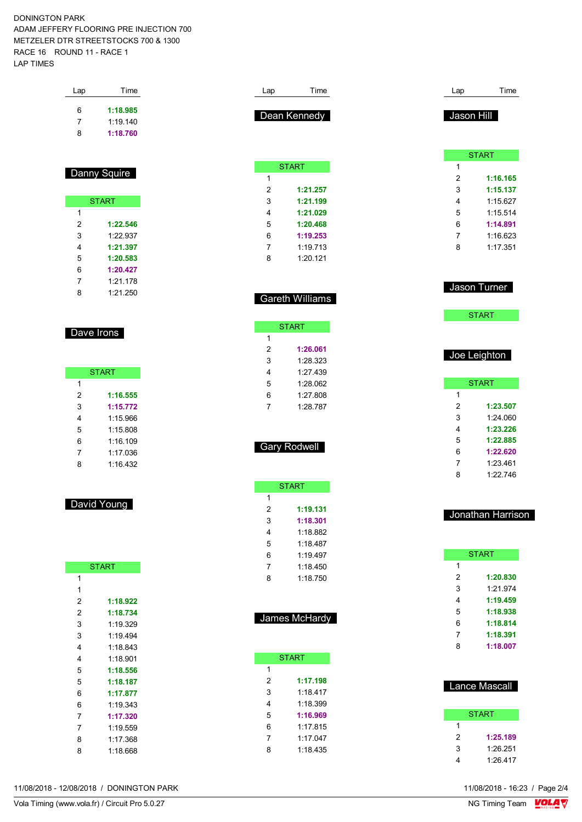|                       | Time                | Lap          | Time                   | Lap                     | Time                                                                             |
|-----------------------|---------------------|--------------|------------------------|-------------------------|----------------------------------------------------------------------------------|
|                       | 1:18.985            |              |                        |                         |                                                                                  |
| 6                     | 1:19.140            |              | Dean Kennedy           | Jason Hill              |                                                                                  |
| 7<br>8                | 1:18.760            |              |                        |                         |                                                                                  |
|                       |                     |              |                        |                         |                                                                                  |
|                       |                     |              |                        |                         | <b>START</b>                                                                     |
|                       | <b>Danny Squire</b> | $\mathbf{1}$ | <b>START</b>           | $\mathbf{1}$<br>2       | 1:16.165                                                                         |
|                       |                     |              |                        |                         |                                                                                  |
|                       |                     | 2            | 1:21.257               | 3                       | 1:15.137                                                                         |
|                       | <b>START</b>        | 3            | 1:21.199               | 4                       | 1:15.627                                                                         |
| $\mathbf{1}$          |                     | 4            | 1:21.029               | 5                       | 1:15.514                                                                         |
| 2                     | 1:22.546            | 5            | 1:20.468               | 6                       | 1:14.891                                                                         |
| 3                     | 1:22.937            | 6            | 1:19.253               | 7                       | 1:16.623                                                                         |
| 4                     | 1:21.397            | 7            | 1:19.713               | 8                       | 1:17.351                                                                         |
| 5                     | 1:20.583            | 8            | 1:20.121               |                         |                                                                                  |
| 6                     | 1:20.427            |              |                        |                         |                                                                                  |
| 7                     | 1:21.178            |              |                        | Jason Turner            |                                                                                  |
| 8                     | 1:21.250            |              |                        |                         |                                                                                  |
|                       |                     |              | <b>Gareth Williams</b> |                         |                                                                                  |
|                       |                     |              | <b>START</b>           |                         | <b>START</b>                                                                     |
|                       | Dave Irons          | 1            |                        |                         |                                                                                  |
|                       |                     | 2            | 1:26.061               |                         |                                                                                  |
|                       |                     | 3            | 1:28.323               | Joe Leighton            |                                                                                  |
|                       | <b>START</b>        | 4            | 1:27.439               |                         |                                                                                  |
| $\mathbf{1}$          |                     | 5            | 1:28.062               |                         | <b>START</b>                                                                     |
| 2                     | 1:16.555            | 6            | 1:27.808               | 1                       |                                                                                  |
| 3                     | 1:15.772            | 7            | 1:28.787               | 2                       | 1:23.507                                                                         |
|                       |                     |              |                        | 3                       | 1:24.060                                                                         |
| 4                     | 1:15.966            |              |                        | 4                       | 1:23.226                                                                         |
| 5                     | 1:15.808            |              |                        |                         |                                                                                  |
| 6                     | 1:16.109            |              | <b>Gary Rodwell</b>    | 5                       | 1:22.885                                                                         |
| 7                     | 1:17.036            |              |                        | 6                       | 1:22.620                                                                         |
| 8                     | 1:16.432            |              |                        | 7                       | 1:23.461                                                                         |
|                       |                     |              |                        | 8                       | 1:22.746                                                                         |
|                       |                     |              |                        |                         |                                                                                  |
|                       |                     | 1            | <b>START</b>           |                         |                                                                                  |
|                       | David Young         | 2            | 1:19.131               |                         |                                                                                  |
|                       |                     |              | 1:18.301               | Jonathan Harrison       |                                                                                  |
|                       |                     | 3<br>4       | 1:18.882               |                         |                                                                                  |
|                       |                     |              |                        |                         |                                                                                  |
|                       |                     | 5            | 1:18.487               |                         | <b>START</b>                                                                     |
|                       |                     | 6            | 1:19.497               | $\mathbf{1}$            |                                                                                  |
|                       | <b>START</b>        | 7            | 1:18.450               | $\overline{\mathbf{c}}$ |                                                                                  |
| $\mathbf{1}$          |                     | 8            | 1:18.750               |                         |                                                                                  |
| $\mathbf{1}$          |                     |              |                        | 3                       |                                                                                  |
| 2                     | 1:18.922            |              |                        | 4                       |                                                                                  |
| 2                     | 1:18.734            |              | James McHardy          | 5                       |                                                                                  |
|                       | 1:19.329            |              |                        | 6                       |                                                                                  |
|                       | 1:19.494            |              |                        | 7                       |                                                                                  |
|                       | 1:18.843            |              |                        | 8                       |                                                                                  |
|                       | 1:18.901            |              | <b>START</b>           |                         |                                                                                  |
| 3<br>3<br>4<br>4<br>5 | 1:18.556            | 1            |                        |                         |                                                                                  |
|                       | 1:18.187            | 2            | 1:17.198               |                         |                                                                                  |
|                       | 1:17.877            | 3            | 1:18.417               | Lance Mascall           |                                                                                  |
| 5<br>6<br>6           | 1:19.343            | 4            | 1:18.399               |                         | 1:20.830<br>1:21.974<br>1:19.459<br>1:18.938<br>1:18.814<br>1:18.391<br>1:18.007 |
| 7                     | 1:17.320            | 5            | 1:16.969               |                         | <b>START</b>                                                                     |
| 7                     | 1:19.559            | 6            | 1:17.815               | $\mathbf{1}$            |                                                                                  |
| 8                     | 1:17.368            | 7            | 1:17.047               | 2                       |                                                                                  |
| 8                     | 1:18.668            | 8            | 1:18.435               | 3                       | 1:25.189<br>1:26.251                                                             |

11/08/2018 - 12/08/2018 / DONINGTON PARK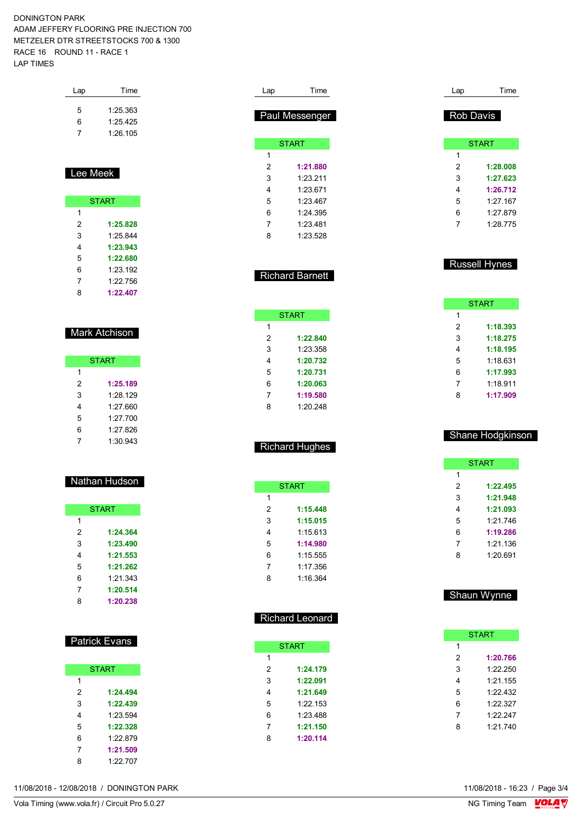| Lap      | Time         |
|----------|--------------|
| 5        | 1:25.363     |
| 6        | 1:25.425     |
| 7        | 1:26.105     |
| Lee Meek |              |
|          |              |
|          | <b>START</b> |
| 1        |              |
| 2        | 1:25.828     |
| 3        | 1:25.844     |
| 4        | 1:23.943     |
| 5        | 1:22.680     |
| 6        | 1:23.192     |
| 7        | 1:22.756     |

| <b>Mark Atchison</b> |  |
|----------------------|--|
|----------------------|--|

|   | <b>START</b> |
|---|--------------|
| 1 |              |
| 2 | 1:25.189     |
| 3 | 1.28 129     |
| 4 | 1:27.660     |
| 5 | 1.27 700     |
| 6 | 1:27.826     |
|   | 1:30.943     |

### Nathan Hudson

|   | <b>START</b> |
|---|--------------|
| 1 |              |
| 2 | 1:24.364     |
| 3 | 1:23.490     |
| 4 | 1:21.553     |
| 5 | 1:21.262     |
| 6 | 1:21.343     |
| 7 | 1:20.514     |
| ጸ | 1:20.238     |

| <b>Patrick Evans</b> |  |
|----------------------|--|
|----------------------|--|

| <b>START</b> |          |  |  |  |
|--------------|----------|--|--|--|
| 1            |          |  |  |  |
| 2            | 1:24.494 |  |  |  |
| 3            | 1:22.439 |  |  |  |
| 4            | 1.23.594 |  |  |  |
| 5            | 1:22.328 |  |  |  |
| 6            | 1:22.879 |  |  |  |
| 7            | 1:21.509 |  |  |  |
| 8            | 1:22.707 |  |  |  |

| Lap | Time           |
|-----|----------------|
|     |                |
|     | Paul Messenger |
|     |                |
|     | <b>START</b>   |
| 1   |                |
| 2   | 1:21.880       |
| 3   | 1.23 211       |
| 4   | 1.23.671       |
| 5   | 1.23 467       |
| 6   | 1:24 395       |
| 7   | 1.23 481       |
| 8   | 1.23.528       |

### Richard Barnett

|   | <b>START</b> |
|---|--------------|
| 1 |              |
| 2 | 1:22.840     |
| 3 | 1:23.358     |
| 4 | 1:20.732     |
| 5 | 1:20.731     |
| 6 | 1:20.063     |
| 7 | 1:19.580     |
| 8 | 1.20 248     |

### Richard Hughes

|               | <b>START</b> |
|---------------|--------------|
| 1             |              |
| $\mathcal{P}$ | 1:15.448     |
| 3             | 1:15.015     |
| 4             | 1:15 613     |
| 5             | 1:14.980     |
| 6             | 1:15.555     |
| 7             | 1:17.356     |
| 8             | 1:16.364     |

### Richard Leonard

|                | <b>START</b> |  |  |  |  |
|----------------|--------------|--|--|--|--|
| 1              |              |  |  |  |  |
| 2              | 1:24.179     |  |  |  |  |
| 3              | 1:22.091     |  |  |  |  |
| $\overline{4}$ | 1:21.649     |  |  |  |  |
| 5              | 1:22.153     |  |  |  |  |
| 6              | 1:23.488     |  |  |  |  |
| 7              | 1:21.150     |  |  |  |  |
| 8              | 1:20.114     |  |  |  |  |

Lap Time

**START** 

 **1:28.008 1:27.623 1:26.712** 1:27.167 1:27.879 1:28.775

Russell Hynes

**START** 

 **1:18.393 1:18.275 1:18.195** 1:18.631 **1:17.993** 1:18.911 **1:17.909**

Shane Hodgkinson

**START** 

 **1:22.495 1:21.948 1:21.093** 1:21.746 **1:19.286** 1:21.136 1:20.691

Shaun Wynne

Rob Davis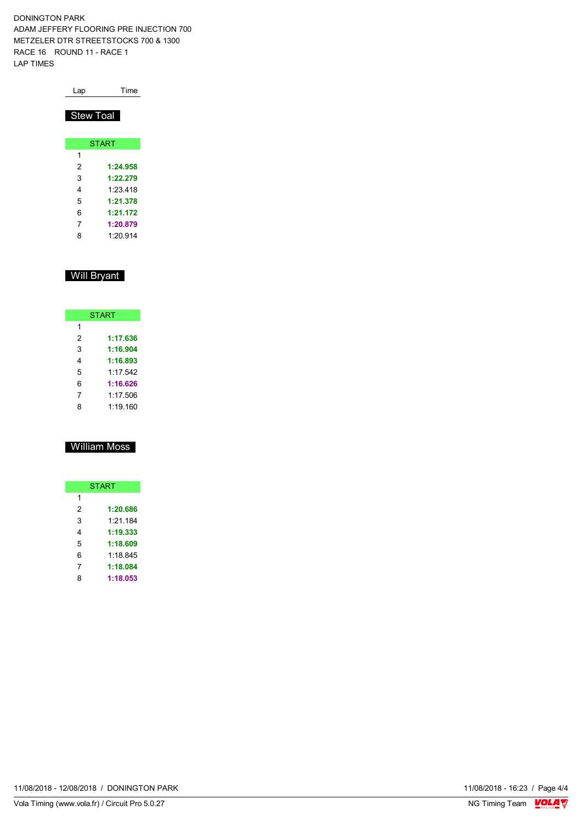| Lap              | Time         |
|------------------|--------------|
| <b>Stew Toal</b> |              |
|                  | <b>START</b> |
| 1                |              |
| 2                | 1:24.958     |
| 3                | 1:22.279     |
| 4                | 1.23 418     |
| 5                | 1:21.378     |
| 6                | 1:21.172     |
| 7                | 1:20.879     |
| 8                | 1.20 914     |

### Will Bryant

| <b>START</b> |          |  |  |  |  |  |  |  |  |  |  |
|--------------|----------|--|--|--|--|--|--|--|--|--|--|
| 1            |          |  |  |  |  |  |  |  |  |  |  |
| 2            | 1:17.636 |  |  |  |  |  |  |  |  |  |  |
| 3            | 1:16.904 |  |  |  |  |  |  |  |  |  |  |
| 4            | 1:16.893 |  |  |  |  |  |  |  |  |  |  |
| 5            | 1.17.542 |  |  |  |  |  |  |  |  |  |  |
| 6            | 1:16.626 |  |  |  |  |  |  |  |  |  |  |
| 7            | 1:17.506 |  |  |  |  |  |  |  |  |  |  |
|              | 1:19.160 |  |  |  |  |  |  |  |  |  |  |

## William Moss

| <b>START</b> |          |  |  |  |  |  |  |  |  |  |  |
|--------------|----------|--|--|--|--|--|--|--|--|--|--|
| 1            |          |  |  |  |  |  |  |  |  |  |  |
| 2            | 1:20.686 |  |  |  |  |  |  |  |  |  |  |
| 3            | 1:21.184 |  |  |  |  |  |  |  |  |  |  |
| 4            | 1:19.333 |  |  |  |  |  |  |  |  |  |  |
| 5            | 1:18.609 |  |  |  |  |  |  |  |  |  |  |
| 6            | 1:18.845 |  |  |  |  |  |  |  |  |  |  |
| 7            | 1:18.084 |  |  |  |  |  |  |  |  |  |  |
| 8            | 1:18.053 |  |  |  |  |  |  |  |  |  |  |